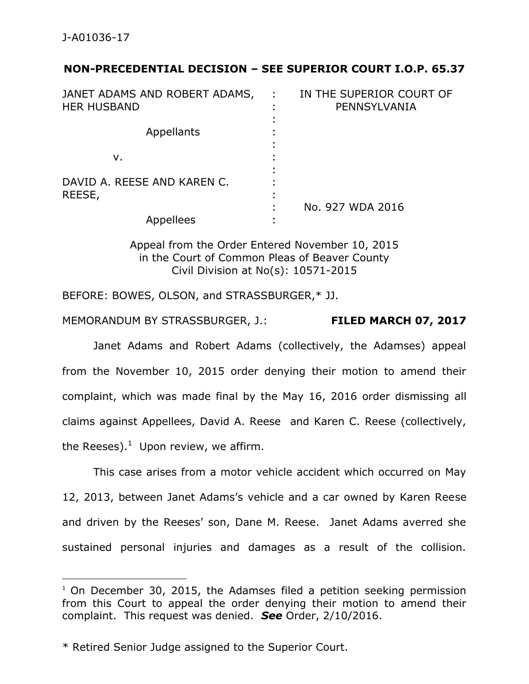$\overline{a}$ 

## **NON-PRECEDENTIAL DECISION – SEE SUPERIOR COURT I.O.P. 65.37**

| JANET ADAMS AND ROBERT ADAMS,<br><b>HER HUSBAND</b> | IN THE SUPERIOR COURT OF<br>PENNSYLVANIA |
|-----------------------------------------------------|------------------------------------------|
| Appellants                                          |                                          |
| ν.                                                  |                                          |
| DAVID A. REESE AND KAREN C.<br>REESE,               |                                          |
| Appellees                                           | No. 927 WDA 2016                         |

Appeal from the Order Entered November 10, 2015 in the Court of Common Pleas of Beaver County Civil Division at No(s): 10571-2015

BEFORE: BOWES, OLSON, and STRASSBURGER,\* JJ.

MEMORANDUM BY STRASSBURGER, J.: **FILED MARCH 07, 2017**

Janet Adams and Robert Adams (collectively, the Adamses) appeal from the November 10, 2015 order denying their motion to amend their complaint, which was made final by the May 16, 2016 order dismissing all claims against Appellees, David A. Reese and Karen C. Reese (collectively, the Reeses).<sup>1</sup> Upon review, we affirm.

This case arises from a motor vehicle accident which occurred on May 12, 2013, between Janet Adams's vehicle and a car owned by Karen Reese and driven by the Reeses' son, Dane M. Reese. Janet Adams averred she sustained personal injuries and damages as a result of the collision.

 $1$  On December 30, 2015, the Adamses filed a petition seeking permission from this Court to appeal the order denying their motion to amend their complaint. This request was denied. *See* Order, 2/10/2016.

<sup>\*</sup> Retired Senior Judge assigned to the Superior Court.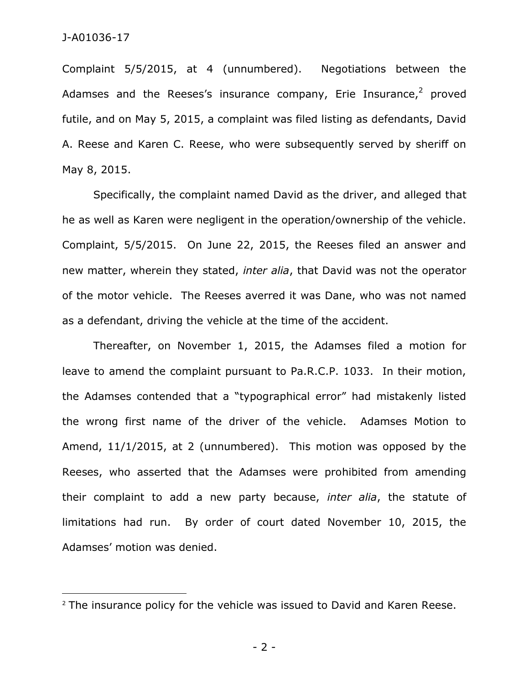$\overline{a}$ 

Complaint 5/5/2015, at 4 (unnumbered). Negotiations between the Adamses and the Reeses's insurance company, Erie Insurance, $2$  proved futile, and on May 5, 2015, a complaint was filed listing as defendants, David A. Reese and Karen C. Reese, who were subsequently served by sheriff on May 8, 2015.

Specifically, the complaint named David as the driver, and alleged that he as well as Karen were negligent in the operation/ownership of the vehicle. Complaint, 5/5/2015. On June 22, 2015, the Reeses filed an answer and new matter, wherein they stated, *inter alia*, that David was not the operator of the motor vehicle. The Reeses averred it was Dane, who was not named as a defendant, driving the vehicle at the time of the accident.

Thereafter, on November 1, 2015, the Adamses filed a motion for leave to amend the complaint pursuant to Pa.R.C.P. 1033. In their motion, the Adamses contended that a "typographical error" had mistakenly listed the wrong first name of the driver of the vehicle. Adamses Motion to Amend, 11/1/2015, at 2 (unnumbered). This motion was opposed by the Reeses, who asserted that the Adamses were prohibited from amending their complaint to add a new party because, *inter alia*, the statute of limitations had run. By order of court dated November 10, 2015, the Adamses' motion was denied.

 $2$  The insurance policy for the vehicle was issued to David and Karen Reese.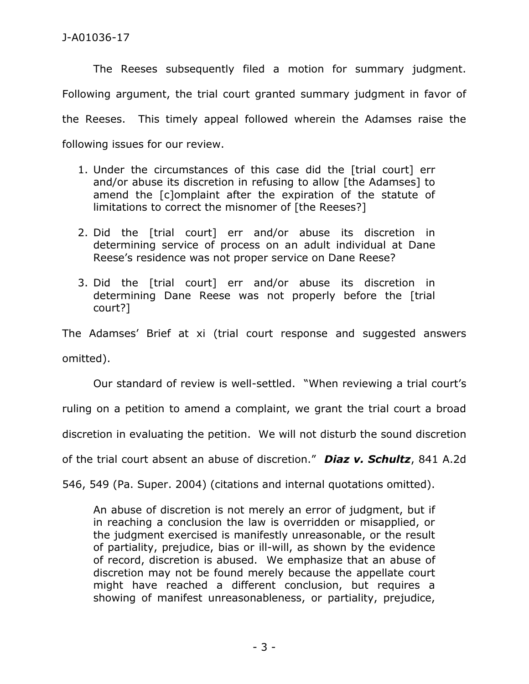The Reeses subsequently filed a motion for summary judgment. Following argument, the trial court granted summary judgment in favor of the Reeses. This timely appeal followed wherein the Adamses raise the following issues for our review.

- 1. Under the circumstances of this case did the [trial court] err and/or abuse its discretion in refusing to allow [the Adamses] to amend the [c]omplaint after the expiration of the statute of limitations to correct the misnomer of [the Reeses?]
- 2. Did the [trial court] err and/or abuse its discretion in determining service of process on an adult individual at Dane Reese's residence was not proper service on Dane Reese?
- 3. Did the [trial court] err and/or abuse its discretion in determining Dane Reese was not properly before the [trial court?]

The Adamses' Brief at xi (trial court response and suggested answers omitted).

Our standard of review is well-settled. "When reviewing a trial court's ruling on a petition to amend a complaint, we grant the trial court a broad discretion in evaluating the petition. We will not disturb the sound discretion of the trial court absent an abuse of discretion." *Diaz v. Schultz*, 841 A.2d

546, 549 (Pa. Super. 2004) (citations and internal quotations omitted).

An abuse of discretion is not merely an error of judgment, but if in reaching a conclusion the law is overridden or misapplied, or the judgment exercised is manifestly unreasonable, or the result of partiality, prejudice, bias or ill-will, as shown by the evidence of record, discretion is abused. We emphasize that an abuse of discretion may not be found merely because the appellate court might have reached a different conclusion, but requires a showing of manifest unreasonableness, or partiality, prejudice,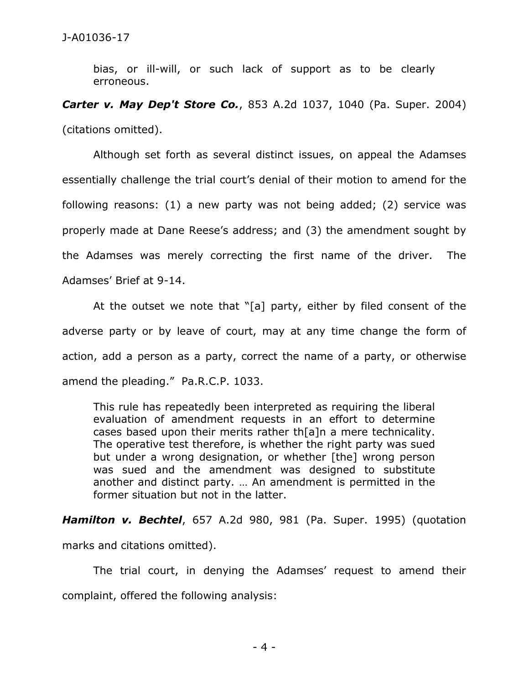bias, or ill-will, or such lack of support as to be clearly erroneous.

*Carter v. May Dep't Store Co.*, 853 A.2d 1037, 1040 (Pa. Super. 2004) (citations omitted).

Although set forth as several distinct issues, on appeal the Adamses essentially challenge the trial court's denial of their motion to amend for the following reasons: (1) a new party was not being added; (2) service was properly made at Dane Reese's address; and (3) the amendment sought by the Adamses was merely correcting the first name of the driver. The Adamses' Brief at 9-14.

At the outset we note that "[a] party, either by filed consent of the adverse party or by leave of court, may at any time change the form of action, add a person as a party, correct the name of a party, or otherwise amend the pleading." Pa.R.C.P. 1033.

This rule has repeatedly been interpreted as requiring the liberal evaluation of amendment requests in an effort to determine cases based upon their merits rather th[a]n a mere technicality. The operative test therefore, is whether the right party was sued but under a wrong designation, or whether [the] wrong person was sued and the amendment was designed to substitute another and distinct party. … An amendment is permitted in the former situation but not in the latter.

*Hamilton v. Bechtel*, 657 A.2d 980, 981 (Pa. Super. 1995) (quotation

marks and citations omitted).

The trial court, in denying the Adamses' request to amend their complaint, offered the following analysis: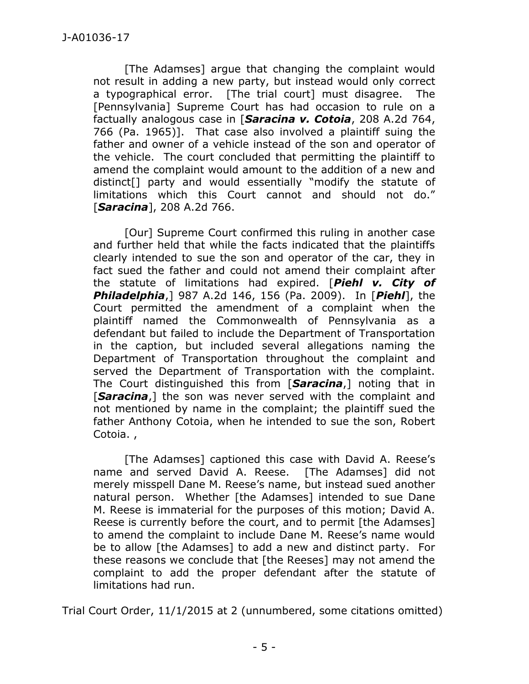[The Adamses] argue that changing the complaint would not result in adding a new party, but instead would only correct a typographical error. [The trial court] must disagree. The [Pennsylvania] Supreme Court has had occasion to rule on a factually analogous case in [*Saracina v. Cotoia*, 208 A.2d 764, 766 (Pa. 1965)]. That case also involved a plaintiff suing the father and owner of a vehicle instead of the son and operator of the vehicle. The court concluded that permitting the plaintiff to amend the complaint would amount to the addition of a new and distinct[] party and would essentially "modify the statute of limitations which this Court cannot and should not do." [*Saracina*], 208 A.2d 766.

[Our] Supreme Court confirmed this ruling in another case and further held that while the facts indicated that the plaintiffs clearly intended to sue the son and operator of the car, they in fact sued the father and could not amend their complaint after the statute of limitations had expired. [*Piehl v. City of Philadelphia*,] 987 A.2d 146, 156 (Pa. 2009). In [*Piehl*], the Court permitted the amendment of a complaint when the plaintiff named the Commonwealth of Pennsylvania as a defendant but failed to include the Department of Transportation in the caption, but included several allegations naming the Department of Transportation throughout the complaint and served the Department of Transportation with the complaint. The Court distinguished this from [*Saracina*,] noting that in [*Saracina*,] the son was never served with the complaint and not mentioned by name in the complaint; the plaintiff sued the father Anthony Cotoia, when he intended to sue the son, Robert Cotoia. ,

[The Adamses] captioned this case with David A. Reese's name and served David A. Reese. [The Adamses] did not merely misspell Dane M. Reese's name, but instead sued another natural person. Whether [the Adamses] intended to sue Dane M. Reese is immaterial for the purposes of this motion; David A. Reese is currently before the court, and to permit [the Adamses] to amend the complaint to include Dane M. Reese's name would be to allow [the Adamses] to add a new and distinct party. For these reasons we conclude that [the Reeses] may not amend the complaint to add the proper defendant after the statute of limitations had run.

Trial Court Order, 11/1/2015 at 2 (unnumbered, some citations omitted)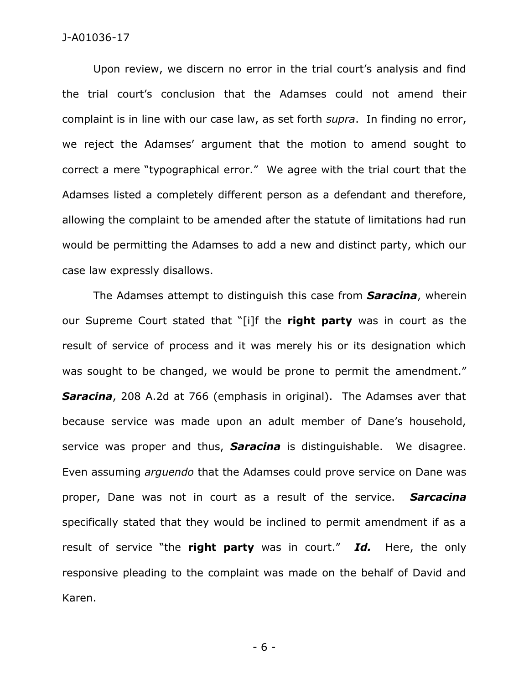## J-A01036-17

Upon review, we discern no error in the trial court's analysis and find the trial court's conclusion that the Adamses could not amend their complaint is in line with our case law, as set forth *supra*. In finding no error, we reject the Adamses' argument that the motion to amend sought to correct a mere "typographical error." We agree with the trial court that the Adamses listed a completely different person as a defendant and therefore, allowing the complaint to be amended after the statute of limitations had run would be permitting the Adamses to add a new and distinct party, which our case law expressly disallows.

The Adamses attempt to distinguish this case from *Saracina*, wherein our Supreme Court stated that "[i]f the **right party** was in court as the result of service of process and it was merely his or its designation which was sought to be changed, we would be prone to permit the amendment." *Saracina*, 208 A.2d at 766 (emphasis in original). The Adamses aver that because service was made upon an adult member of Dane's household, service was proper and thus, *Saracina* is distinguishable. We disagree. Even assuming *arguendo* that the Adamses could prove service on Dane was proper, Dane was not in court as a result of the service. *Sarcacina* specifically stated that they would be inclined to permit amendment if as a result of service "the **right party** was in court." *Id.* Here, the only responsive pleading to the complaint was made on the behalf of David and Karen.

- 6 -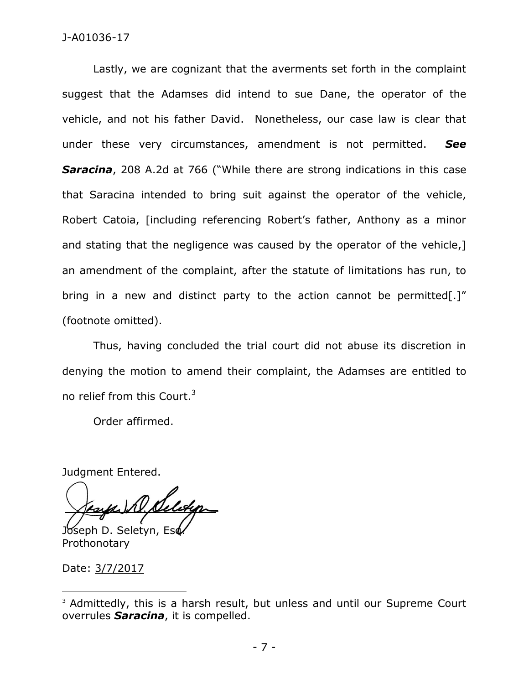## J-A01036-17

Lastly, we are cognizant that the averments set forth in the complaint suggest that the Adamses did intend to sue Dane, the operator of the vehicle, and not his father David. Nonetheless, our case law is clear that under these very circumstances, amendment is not permitted. *See* **Saracina**, 208 A.2d at 766 ("While there are strong indications in this case that Saracina intended to bring suit against the operator of the vehicle, Robert Catoia, [including referencing Robert's father, Anthony as a minor and stating that the negligence was caused by the operator of the vehicle,] an amendment of the complaint, after the statute of limitations has run, to bring in a new and distinct party to the action cannot be permitted[.]" (footnote omitted).

Thus, having concluded the trial court did not abuse its discretion in denying the motion to amend their complaint, the Adamses are entitled to no relief from this Court.<sup>3</sup>

Order affirmed.

Judgment Entered.

D. Seletion Joseph D. Seletyn, Esd

Prothonotary

Date: 3/7/2017

 $\overline{a}$ 

<sup>&</sup>lt;sup>3</sup> Admittedly, this is a harsh result, but unless and until our Supreme Court overrules *Saracina*, it is compelled.